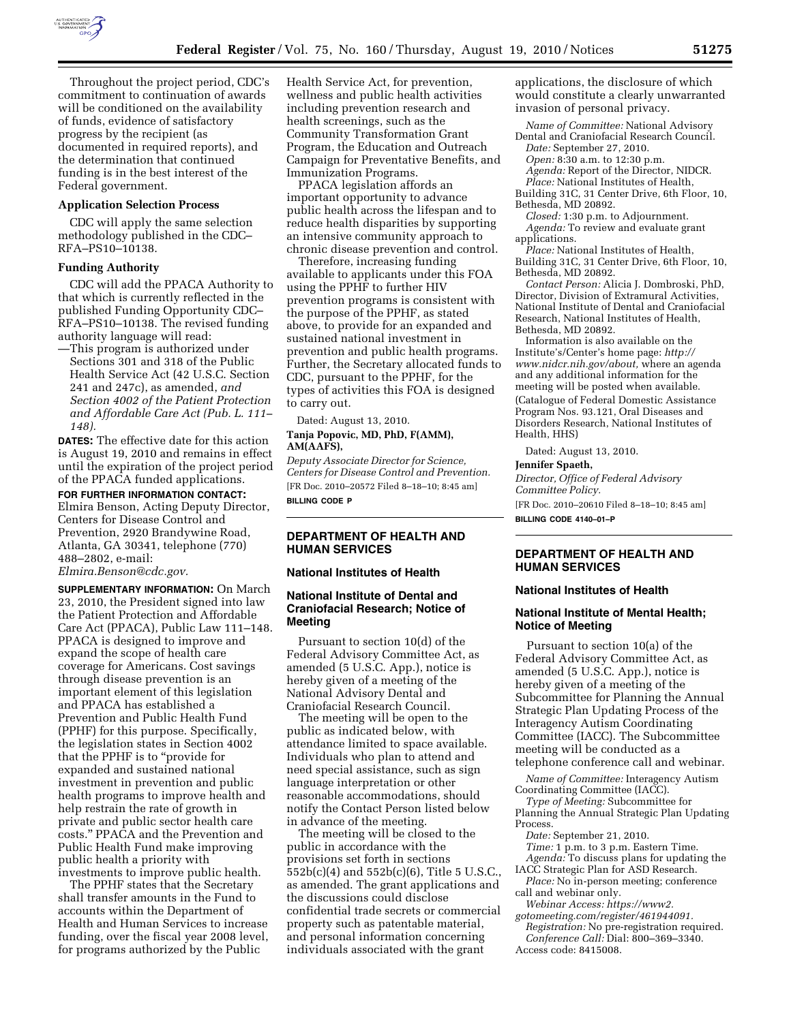

Throughout the project period, CDC's commitment to continuation of awards will be conditioned on the availability of funds, evidence of satisfactory progress by the recipient (as documented in required reports), and the determination that continued funding is in the best interest of the Federal government.

#### **Application Selection Process**

CDC will apply the same selection methodology published in the CDC– RFA–PS10–10138.

#### **Funding Authority**

CDC will add the PPACA Authority to that which is currently reflected in the published Funding Opportunity CDC– RFA–PS10–10138. The revised funding authority language will read:

—This program is authorized under Sections 301 and 318 of the Public Health Service Act (42 U.S.C. Section 241 and 247c), as amended, *and Section 4002 of the Patient Protection and Affordable Care Act (Pub. L. 111– 148).* 

**DATES:** The effective date for this action is August 19, 2010 and remains in effect until the expiration of the project period of the PPACA funded applications.

**FOR FURTHER INFORMATION CONTACT:**  Elmira Benson, Acting Deputy Director, Centers for Disease Control and Prevention, 2920 Brandywine Road, Atlanta, GA 30341, telephone (770) 488–2802, e-mail: *[Elmira.Benson@cdc.gov.](mailto:Elmira.Benson@cdc.gov)* 

**SUPPLEMENTARY INFORMATION:** On March 23, 2010, the President signed into law the Patient Protection and Affordable Care Act (PPACA), Public Law 111–148. PPACA is designed to improve and expand the scope of health care coverage for Americans. Cost savings through disease prevention is an important element of this legislation and PPACA has established a Prevention and Public Health Fund (PPHF) for this purpose. Specifically, the legislation states in Section 4002 that the PPHF is to "provide for expanded and sustained national investment in prevention and public health programs to improve health and help restrain the rate of growth in private and public sector health care costs.'' PPACA and the Prevention and Public Health Fund make improving public health a priority with investments to improve public health.

The PPHF states that the Secretary shall transfer amounts in the Fund to accounts within the Department of Health and Human Services to increase funding, over the fiscal year 2008 level, for programs authorized by the Public

Health Service Act, for prevention, wellness and public health activities including prevention research and health screenings, such as the Community Transformation Grant Program, the Education and Outreach Campaign for Preventative Benefits, and Immunization Programs.

PPACA legislation affords an important opportunity to advance public health across the lifespan and to reduce health disparities by supporting an intensive community approach to chronic disease prevention and control.

Therefore, increasing funding available to applicants under this FOA using the PPHF to further HIV prevention programs is consistent with the purpose of the PPHF, as stated above, to provide for an expanded and sustained national investment in prevention and public health programs. Further, the Secretary allocated funds to CDC, pursuant to the PPHF, for the types of activities this FOA is designed to carry out.

Dated: August 13, 2010. **Tanja Popovic, MD, PhD, F(AMM), AM(AAFS),** 

*Deputy Associate Director for Science, Centers for Disease Control and Prevention.*  [FR Doc. 2010–20572 Filed 8–18–10; 8:45 am] **BILLING CODE P** 

#### **DEPARTMENT OF HEALTH AND HUMAN SERVICES**

# **National Institutes of Health**

# **National Institute of Dental and Craniofacial Research; Notice of Meeting**

Pursuant to section 10(d) of the Federal Advisory Committee Act, as amended (5 U.S.C. App.), notice is hereby given of a meeting of the National Advisory Dental and Craniofacial Research Council.

The meeting will be open to the public as indicated below, with attendance limited to space available. Individuals who plan to attend and need special assistance, such as sign language interpretation or other reasonable accommodations, should notify the Contact Person listed below in advance of the meeting.

The meeting will be closed to the public in accordance with the provisions set forth in sections 552b(c)(4) and 552b(c)(6), Title 5 U.S.C., as amended. The grant applications and the discussions could disclose confidential trade secrets or commercial property such as patentable material, and personal information concerning individuals associated with the grant

applications, the disclosure of which would constitute a clearly unwarranted invasion of personal privacy.

*Name of Committee:* National Advisory Dental and Craniofacial Research Council. *Date:* September 27, 2010.

*Open:* 8:30 a.m. to 12:30 p.m.

*Agenda:* Report of the Director, NIDCR.

*Place:* National Institutes of Health,

Building 31C, 31 Center Drive, 6th Floor, 10, Bethesda, MD 20892.

*Closed:* 1:30 p.m. to Adjournment. *Agenda:* To review and evaluate grant applications.

*Place:* National Institutes of Health, Building 31C, 31 Center Drive, 6th Floor, 10, Bethesda, MD 20892.

*Contact Person:* Alicia J. Dombroski, PhD, Director, Division of Extramural Activities, National Institute of Dental and Craniofacial Research, National Institutes of Health, Bethesda, MD 20892.

Information is also available on the Institute's/Center's home page: *[http://](http://www.nidcr.nih.gov/about) [www.nidcr.nih.gov/about,](http://www.nidcr.nih.gov/about)* where an agenda and any additional information for the meeting will be posted when available. (Catalogue of Federal Domestic Assistance Program Nos. 93.121, Oral Diseases and Disorders Research, National Institutes of Health, HHS)

Dated: August 13, 2010.

#### **Jennifer Spaeth,**

*Director, Office of Federal Advisory Committee Policy.* 

[FR Doc. 2010–20610 Filed 8–18–10; 8:45 am] **BILLING CODE 4140–01–P** 

## **DEPARTMENT OF HEALTH AND HUMAN SERVICES**

# **National Institutes of Health**

#### **National Institute of Mental Health; Notice of Meeting**

Pursuant to section 10(a) of the Federal Advisory Committee Act, as amended (5 U.S.C. App.), notice is hereby given of a meeting of the Subcommittee for Planning the Annual Strategic Plan Updating Process of the Interagency Autism Coordinating Committee (IACC). The Subcommittee meeting will be conducted as a telephone conference call and webinar.

*Name of Committee:* Interagency Autism Coordinating Committee (IACC).

*Type of Meeting:* Subcommittee for Planning the Annual Strategic Plan Updating Process.

*Date:* September 21, 2010.

- *Time:* 1 p.m. to 3 p.m. Eastern Time.
- *Agenda:* To discuss plans for updating the IACC Strategic Plan for ASD Research.
- *Place:* No in-person meeting; conference call and webinar only. *Webinar Access: [https://www2.](https://www2.gotomeeting.com/register/461944091)*

*[gotomeeting.com/register/461944091.](https://www2.gotomeeting.com/register/461944091)* 

*Registration:* No pre-registration required. *Conference Call:* Dial: 800–369–3340. Access code: 8415008.